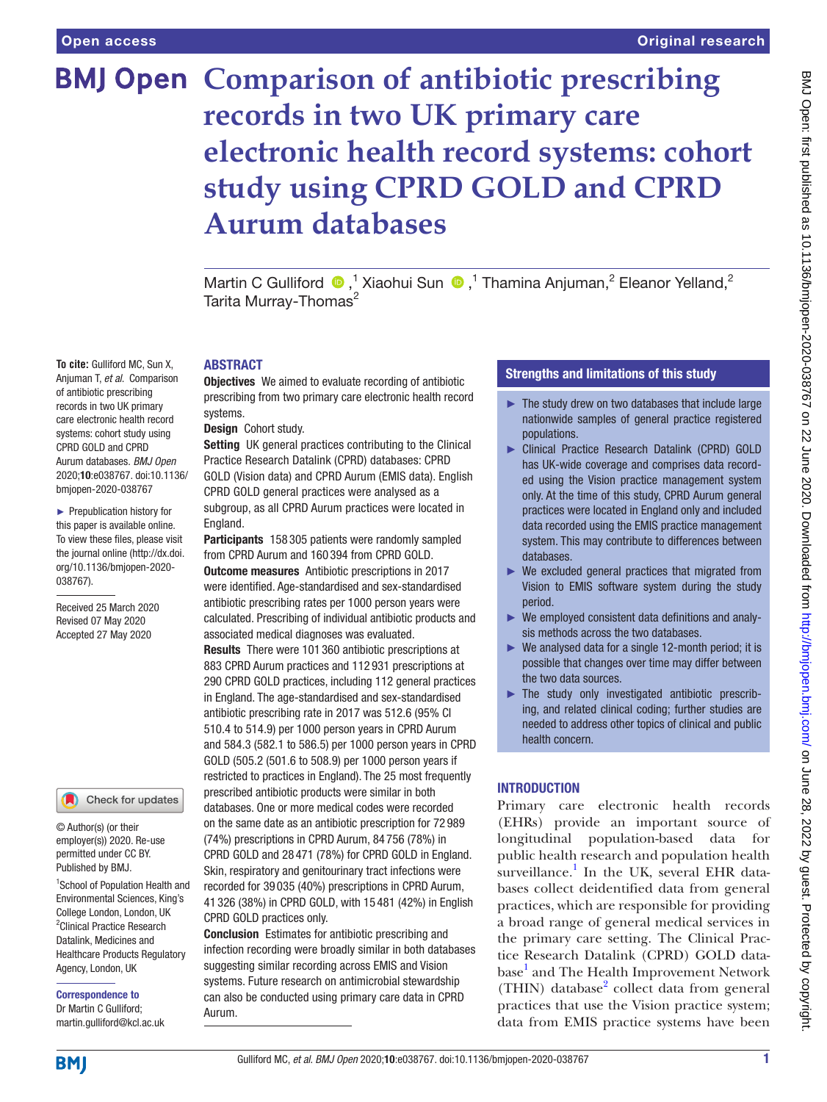**To cite:** Gulliford MC, Sun X, Anjuman T, *et al*. Comparison of antibiotic prescribing records in two UK primary care electronic health record systems: cohort study using CPRD GOLD and CPRD Aurum databases. *BMJ Open* 2020;10:e038767. doi:10.1136/ bmjopen-2020-038767 ► Prepublication history for this paper is available online. To view these files, please visit the journal online (http://dx.doi. org/10.1136/bmjopen-2020-

038767).

Received 25 March 2020 Revised 07 May 2020 Accepted 27 May 2020

# **BMJ Open Comparison of antibiotic prescribing records in two UK primary care electronic health record systems: cohort study using CPRD GOLD and CPRD Aurum databases**

Martin C Gulliford  $\bullet$ ,<sup>1</sup> Xiaohui Sun  $\bullet$ ,<sup>1</sup> Thamina Anjuman,<sup>2</sup> Eleanor Yelland,<sup>2</sup> Tarita Murray-Thomas<sup>2</sup>

# **ABSTRACT**

**Objectives** We aimed to evaluate recording of antibiotic prescribing from two primary care electronic health record systems.

# Design Cohort study.

Setting UK general practices contributing to the Clinical Practice Research Datalink (CPRD) databases: CPRD GOLD (Vision data) and CPRD Aurum (EMIS data). English CPRD GOLD general practices were analysed as a subgroup, as all CPRD Aurum practices were located in England.

Participants 158 305 patients were randomly sampled from CPRD Aurum and 160 394 from CPRD GOLD. Outcome measures Antibiotic prescriptions in 2017 were identified. Age-standardised and sex-standardised antibiotic prescribing rates per 1000 person years were calculated. Prescribing of individual antibiotic products and associated medical diagnoses was evaluated.

Results There were 101 360 antibiotic prescriptions at 883 CPRD Aurum practices and 112 931 prescriptions at 290 CPRD GOLD practices, including 112 general practices in England. The age-standardised and sex-standardised antibiotic prescribing rate in 2017 was 512.6 (95% CI 510.4 to 514.9) per 1000 person years in CPRD Aurum and 584.3 (582.1 to 586.5) per 1000 person years in CPRD GOLD (505.2 (501.6 to 508.9) per 1000 person years if restricted to practices in England). The 25 most frequently prescribed antibiotic products were similar in both databases. One or more medical codes were recorded on the same date as an antibiotic prescription for 72 989 (74%) prescriptions in CPRD Aurum, 84 756 (78%) in CPRD GOLD and 28 471 (78%) for CPRD GOLD in England. Skin, respiratory and genitourinary tract infections were recorded for 39 035 (40%) prescriptions in CPRD Aurum, 41 326 (38%) in CPRD GOLD, with 15 481 (42%) in English CPRD GOLD practices only.

Conclusion Estimates for antibiotic prescribing and infection recording were broadly similar in both databases suggesting similar recording across EMIS and Vision systems. Future research on antimicrobial stewardship can also be conducted using primary care data in CPRD Aurum.

# Strengths and limitations of this study

- $\blacktriangleright$  The study drew on two databases that include large nationwide samples of general practice registered populations.
- ► Clinical Practice Research Datalink (CPRD) GOLD has UK-wide coverage and comprises data recorded using the Vision practice management system only. At the time of this study, CPRD Aurum general practices were located in England only and included data recorded using the EMIS practice management system. This may contribute to differences between databases.
- ► We excluded general practices that migrated from Vision to EMIS software system during the study period.
- ► We employed consistent data definitions and analysis methods across the two databases.
- ► We analysed data for a single 12-month period; it is possible that changes over time may differ between the two data sources.
- ► The study only investigated antibiotic prescribing, and related clinical coding; further studies are needed to address other topics of clinical and public health concern.

# **INTRODUCTION**

Primary care electronic health records (EHRs) provide an important source of longitudinal population-based data for public health research and population health surveillance.<sup>[1](#page-6-0)</sup> In the UK, several EHR databases collect deidentified data from general practices, which are responsible for providing a broad range of general medical services in the primary care setting. The Clinical Practice Research Datalink (CPRD) GOLD data-base<sup>[1](#page-6-0)</sup> and The Health Improvement Network (THIN) database<sup>[2](#page-6-1)</sup> collect data from general practices that use the Vision practice system; data from EMIS practice systems have been

# Healthcare Products Regulatory Agency, London, UK

© Author(s) (or their employer(s)) 2020. Re-use permitted under CC BY. Published by BMJ.

Correspondence to Dr Martin C Gulliford; martin.gulliford@kcl.ac.uk

1 School of Population Health and Environmental Sciences, King's College London, London, UK <sup>2</sup> Clinical Practice Research Datalink, Medicines and

Check for updates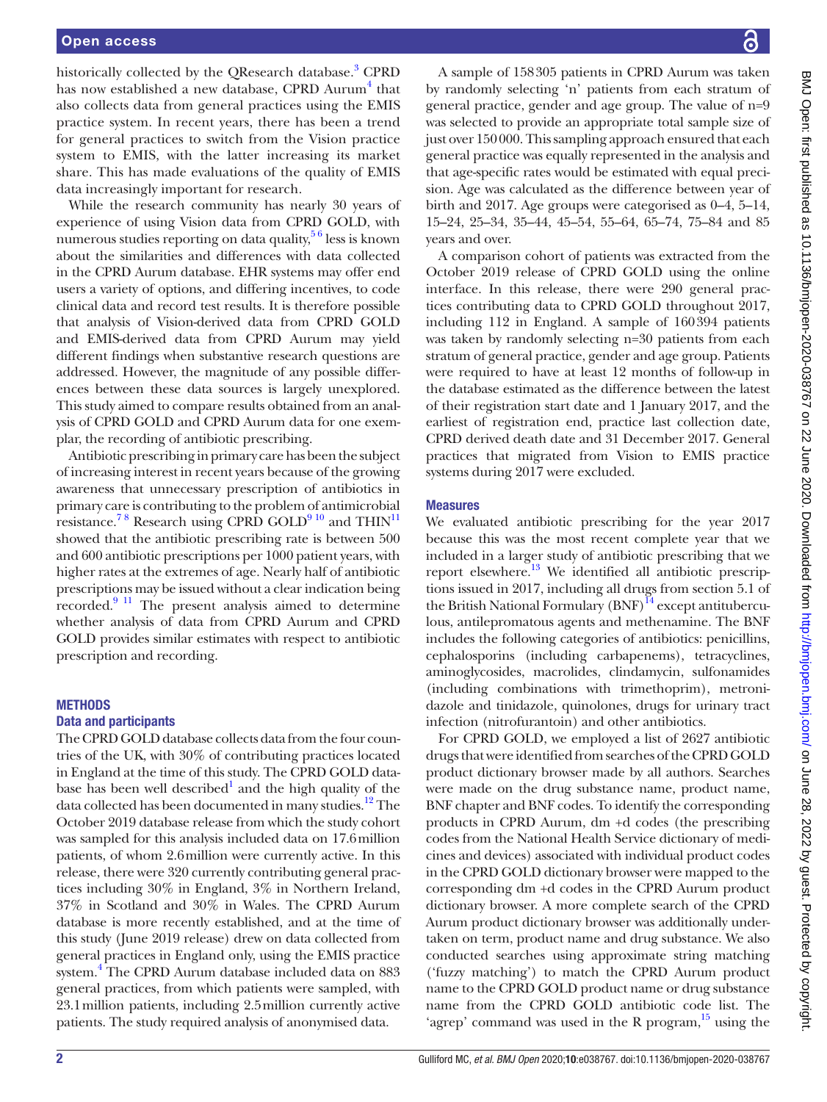historically collected by the QResearch database.<sup>[3](#page-6-2)</sup> CPRD has now established a new database, CPRD Aurum<sup>4</sup> that also collects data from general practices using the EMIS practice system. In recent years, there has been a trend for general practices to switch from the Vision practice system to EMIS, with the latter increasing its market share. This has made evaluations of the quality of EMIS data increasingly important for research.

While the research community has nearly 30 years of experience of using Vision data from CPRD GOLD, with numerous studies reporting on data quality,  $56$  less is known about the similarities and differences with data collected in the CPRD Aurum database. EHR systems may offer end users a variety of options, and differing incentives, to code clinical data and record test results. It is therefore possible that analysis of Vision-derived data from CPRD GOLD and EMIS-derived data from CPRD Aurum may yield different findings when substantive research questions are addressed. However, the magnitude of any possible differences between these data sources is largely unexplored. This study aimed to compare results obtained from an analysis of CPRD GOLD and CPRD Aurum data for one exemplar, the recording of antibiotic prescribing.

Antibiotic prescribing in primary care has been the subject of increasing interest in recent years because of the growing awareness that unnecessary prescription of antibiotics in primary care is contributing to the problem of antimicrobial resistance.<sup>78</sup> Research using CPRD GOLD<sup>910</sup> and THIN<sup>[11](#page-6-7)</sup> showed that the antibiotic prescribing rate is between 500 and 600 antibiotic prescriptions per 1000 patient years, with higher rates at the extremes of age. Nearly half of antibiotic prescriptions may be issued without a clear indication being recorded.[9 11](#page-6-6) The present analysis aimed to determine whether analysis of data from CPRD Aurum and CPRD GOLD provides similar estimates with respect to antibiotic prescription and recording.

#### **METHODS**

#### Data and participants

The CPRD GOLD database collects data from the four countries of the UK, with 30% of contributing practices located in England at the time of this study. The CPRD GOLD data-base has been well described<sup>[1](#page-6-0)</sup> and the high quality of the data collected has been documented in many studies.<sup>12</sup> The October 2019 database release from which the study cohort was sampled for this analysis included data on 17.6million patients, of whom 2.6million were currently active. In this release, there were 320 currently contributing general practices including 30% in England, 3% in Northern Ireland, 37% in Scotland and 30% in Wales. The CPRD Aurum database is more recently established, and at the time of this study (June 2019 release) drew on data collected from general practices in England only, using the EMIS practice system.<sup>4</sup> The CPRD Aurum database included data on 883 general practices, from which patients were sampled, with 23.1million patients, including 2.5million currently active patients. The study required analysis of anonymised data.

A sample of 158305 patients in CPRD Aurum was taken by randomly selecting 'n' patients from each stratum of general practice, gender and age group. The value of n=9 was selected to provide an appropriate total sample size of just over 150000. This sampling approach ensured that each general practice was equally represented in the analysis and that age-specific rates would be estimated with equal precision. Age was calculated as the difference between year of birth and 2017. Age groups were categorised as 0–4, 5–14, 15–24, 25–34, 35–44, 45–54, 55–64, 65–74, 75–84 and 85 years and over.

A comparison cohort of patients was extracted from the October 2019 release of CPRD GOLD using the online interface. In this release, there were 290 general practices contributing data to CPRD GOLD throughout 2017, including 112 in England. A sample of 160394 patients was taken by randomly selecting n=30 patients from each stratum of general practice, gender and age group. Patients were required to have at least 12 months of follow-up in the database estimated as the difference between the latest of their registration start date and 1 January 2017, and the earliest of registration end, practice last collection date, CPRD derived death date and 31 December 2017. General practices that migrated from Vision to EMIS practice systems during 2017 were excluded.

# **Measures**

We evaluated antibiotic prescribing for the year 2017 because this was the most recent complete year that we included in a larger study of antibiotic prescribing that we report elsewhere.<sup>13</sup> We identified all antibiotic prescriptions issued in 2017, including all drugs from section 5.1 of the British National Formulary  $(BNF)^{14}$  $(BNF)^{14}$  $(BNF)^{14}$  except antituberculous, antilepromatous agents and methenamine. The BNF includes the following categories of antibiotics: penicillins, cephalosporins (including carbapenems), tetracyclines, aminoglycosides, macrolides, clindamycin, sulfonamides (including combinations with trimethoprim), metronidazole and tinidazole, quinolones, drugs for urinary tract infection (nitrofurantoin) and other antibiotics.

For CPRD GOLD, we employed a list of 2627 antibiotic drugs that were identified from searches of the CPRD GOLD product dictionary browser made by all authors. Searches were made on the drug substance name, product name, BNF chapter and BNF codes. To identify the corresponding products in CPRD Aurum, dm +d codes (the prescribing codes from the National Health Service dictionary of medicines and devices) associated with individual product codes in the CPRD GOLD dictionary browser were mapped to the corresponding dm +d codes in the CPRD Aurum product dictionary browser. A more complete search of the CPRD Aurum product dictionary browser was additionally undertaken on term, product name and drug substance. We also conducted searches using approximate string matching ('fuzzy matching') to match the CPRD Aurum product name to the CPRD GOLD product name or drug substance name from the CPRD GOLD antibiotic code list. The 'agrep' command was used in the R program, $^{15}$  using the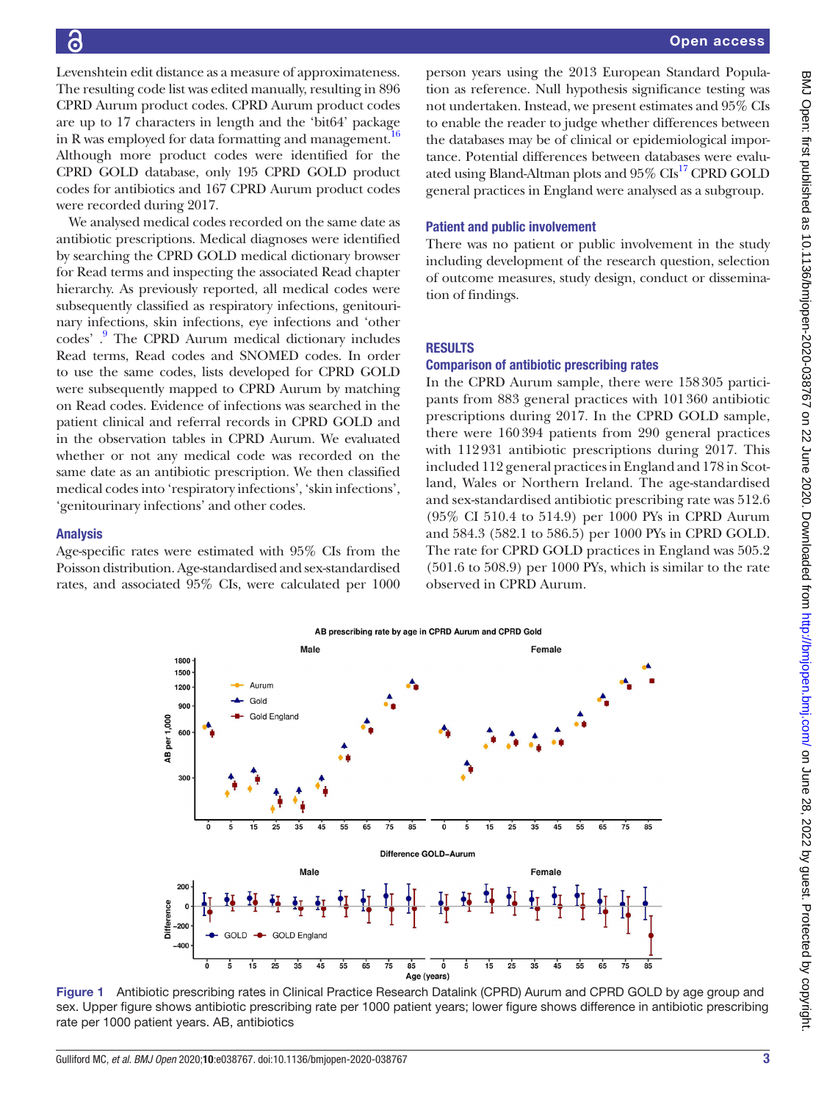Levenshtein edit distance as a measure of approximateness. The resulting code list was edited manually, resulting in 896 CPRD Aurum product codes. CPRD Aurum product codes are up to 17 characters in length and the 'bit64' package in R was employed for data formatting and management.<sup>[16](#page-6-12)</sup> Although more product codes were identified for the CPRD GOLD database, only 195 CPRD GOLD product codes for antibiotics and 167 CPRD Aurum product codes were recorded during 2017.

We analysed medical codes recorded on the same date as antibiotic prescriptions. Medical diagnoses were identified by searching the CPRD GOLD medical dictionary browser for Read terms and inspecting the associated Read chapter hierarchy. As previously reported, all medical codes were subsequently classified as respiratory infections, genitourinary infections, skin infections, eye infections and 'other codes'.<sup>9</sup> The CPRD Aurum medical dictionary includes Read terms, Read codes and SNOMED codes. In order to use the same codes, lists developed for CPRD GOLD were subsequently mapped to CPRD Aurum by matching on Read codes. Evidence of infections was searched in the patient clinical and referral records in CPRD GOLD and in the observation tables in CPRD Aurum. We evaluated whether or not any medical code was recorded on the same date as an antibiotic prescription. We then classified medical codes into 'respiratory infections', 'skin infections', 'genitourinary infections' and other codes.

# Analysis

Age-specific rates were estimated with 95% CIs from the Poisson distribution. Age-standardised and sex-standardised rates, and associated 95% CIs, were calculated per 1000

person years using the 2013 European Standard Population as reference. Null hypothesis significance testing was not undertaken. Instead, we present estimates and 95% CIs to enable the reader to judge whether differences between the databases may be of clinical or epidemiological importance. Potential differences between databases were evalu-ated using Bland-Altman plots and 95% CIs<sup>[17](#page-6-13)</sup> CPRD GOLD general practices in England were analysed as a subgroup.

# Patient and public involvement

There was no patient or public involvement in the study including development of the research question, selection of outcome measures, study design, conduct or dissemination of findings.

# **RESULTS**

# Comparison of antibiotic prescribing rates

In the CPRD Aurum sample, there were 158305 participants from 883 general practices with 101360 antibiotic prescriptions during 2017. In the CPRD GOLD sample, there were 160394 patients from 290 general practices with 112931 antibiotic prescriptions during 2017. This included 112 general practices in England and 178 in Scotland, Wales or Northern Ireland. The age-standardised and sex-standardised antibiotic prescribing rate was 512.6 (95% CI 510.4 to 514.9) per 1000 PYs in CPRD Aurum and 584.3 (582.1 to 586.5) per 1000 PYs in CPRD GOLD. The rate for CPRD GOLD practices in England was 505.2 (501.6 to 508.9) per 1000 PYs, which is similar to the rate observed in CPRD Aurum.



<span id="page-2-0"></span>Figure 1 Antibiotic prescribing rates in Clinical Practice Research Datalink (CPRD) Aurum and CPRD GOLD by age group and sex. Upper figure shows antibiotic prescribing rate per 1000 patient years; lower figure shows difference in antibiotic prescribing rate per 1000 patient years. AB, antibiotics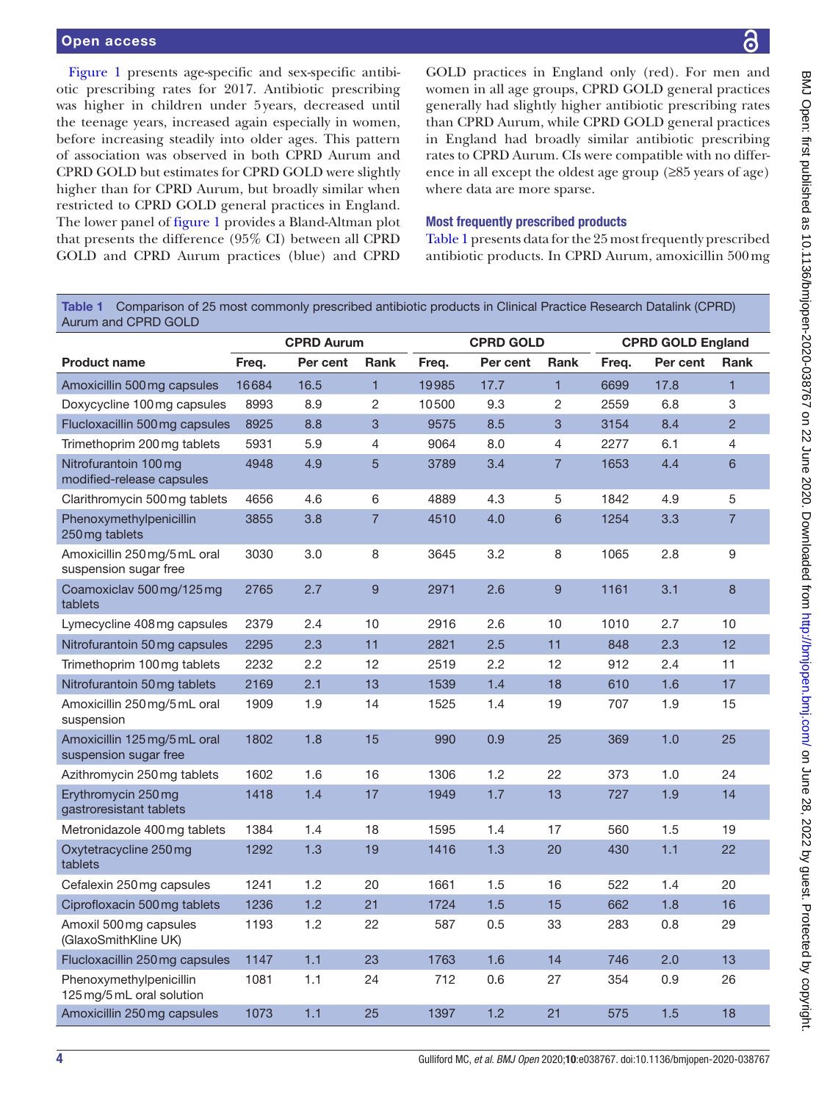[Figure](#page-2-0) 1 presents age-specific and sex-specific antibiotic prescribing rates for 2017. Antibiotic prescribing was higher in children under 5years, decreased until the teenage years, increased again especially in women, before increasing steadily into older ages. This pattern of association was observed in both CPRD Aurum and CPRD GOLD but estimates for CPRD GOLD were slightly higher than for CPRD Aurum, but broadly similar when restricted to CPRD GOLD general practices in England. The lower panel of [figure](#page-2-0) 1 provides a Bland-Altman plot that presents the difference (95% CI) between all CPRD GOLD and CPRD Aurum practices (blue) and CPRD

GOLD practices in England only (red). For men and women in all age groups, CPRD GOLD general practices generally had slightly higher antibiotic prescribing rates than CPRD Aurum, while CPRD GOLD general practices in England had broadly similar antibiotic prescribing rates to CPRD Aurum. CIs were compatible with no difference in all except the oldest age group (≥85 years of age) where data are more sparse.

# Most frequently prescribed products

[Table](#page-3-0) 1 presents data for the 25 most frequently prescribed antibiotic products. In CPRD Aurum, amoxicillin 500mg

<span id="page-3-0"></span>Table 1 Comparison of 25 most commonly prescribed antibiotic products in Clinical Practice Research Datalink (CPRD) Aurum and CPRD GOLD

|                                                       |       | <b>CPRD Aurum</b> |                 | <b>CPRD GOLD</b> |          | <b>CPRD GOLD England</b> |       |          |                |
|-------------------------------------------------------|-------|-------------------|-----------------|------------------|----------|--------------------------|-------|----------|----------------|
| <b>Product name</b>                                   | Freq. | Per cent          | <b>Rank</b>     | Freq.            | Per cent | <b>Rank</b>              | Freg. | Per cent | <b>Rank</b>    |
| Amoxicillin 500 mg capsules                           | 16684 | 16.5              | $\mathbf{1}$    | 19985            | 17.7     | $\mathbf{1}$             | 6699  | 17.8     | $\mathbf{1}$   |
| Doxycycline 100 mg capsules                           | 8993  | 8.9               | $\overline{c}$  | 10500            | 9.3      | $\overline{2}$           | 2559  | 6.8      | 3              |
| Flucloxacillin 500 mg capsules                        | 8925  | 8.8               | 3               | 9575             | 8.5      | 3                        | 3154  | 8.4      | $\overline{2}$ |
| Trimethoprim 200 mg tablets                           | 5931  | 5.9               | $\overline{4}$  | 9064             | 8.0      | $\overline{4}$           | 2277  | 6.1      | 4              |
| Nitrofurantoin 100 mg<br>modified-release capsules    | 4948  | 4.9               | $5\overline{)}$ | 3789             | 3.4      | $\overline{7}$           | 1653  | 4.4      | 6              |
| Clarithromycin 500 mg tablets                         | 4656  | 4.6               | 6               | 4889             | 4.3      | 5                        | 1842  | 4.9      | 5              |
| Phenoxymethylpenicillin<br>250 mg tablets             | 3855  | 3.8               | $\overline{7}$  | 4510             | 4.0      | $6\phantom{1}$           | 1254  | 3.3      | $\overline{7}$ |
| Amoxicillin 250 mg/5 mL oral<br>suspension sugar free | 3030  | 3.0               | 8               | 3645             | 3.2      | 8                        | 1065  | 2.8      | 9              |
| Coamoxiclav 500 mg/125 mg<br>tablets                  | 2765  | 2.7               | 9               | 2971             | 2.6      | $\overline{9}$           | 1161  | 3.1      | 8              |
| Lymecycline 408 mg capsules                           | 2379  | 2.4               | 10              | 2916             | 2.6      | 10                       | 1010  | 2.7      | 10             |
| Nitrofurantoin 50 mg capsules                         | 2295  | 2.3               | 11              | 2821             | 2.5      | 11                       | 848   | 2.3      | 12             |
| Trimethoprim 100 mg tablets                           | 2232  | 2.2               | 12              | 2519             | $2.2\,$  | 12                       | 912   | 2.4      | 11             |
| Nitrofurantoin 50 mg tablets                          | 2169  | 2.1               | 13              | 1539             | 1.4      | 18                       | 610   | 1.6      | 17             |
| Amoxicillin 250 mg/5 mL oral<br>suspension            | 1909  | 1.9               | 14              | 1525             | 1.4      | 19                       | 707   | 1.9      | 15             |
| Amoxicillin 125 mg/5 mL oral<br>suspension sugar free | 1802  | 1.8               | 15              | 990              | 0.9      | 25                       | 369   | 1.0      | 25             |
| Azithromycin 250 mg tablets                           | 1602  | 1.6               | 16              | 1306             | 1.2      | 22                       | 373   | 1.0      | 24             |
| Erythromycin 250 mg<br>gastroresistant tablets        | 1418  | 1.4               | 17              | 1949             | 1.7      | 13                       | 727   | 1.9      | 14             |
| Metronidazole 400 mg tablets                          | 1384  | 1.4               | 18              | 1595             | 1.4      | 17                       | 560   | 1.5      | 19             |
| Oxytetracycline 250 mg<br>tablets                     | 1292  | 1.3               | 19              | 1416             | 1.3      | 20                       | 430   | 1.1      | 22             |
| Cefalexin 250 mg capsules                             | 1241  | 1.2               | 20              | 1661             | 1.5      | 16                       | 522   | 1.4      | 20             |
| Ciprofloxacin 500 mg tablets                          | 1236  | 1.2               | 21              | 1724             | 1.5      | 15                       | 662   | 1.8      | 16             |
| Amoxil 500 mg capsules<br>(GlaxoSmithKline UK)        | 1193  | 1.2               | 22              | 587              | 0.5      | 33                       | 283   | 0.8      | 29             |
| Flucloxacillin 250 mg capsules                        | 1147  | 1.1               | 23              | 1763             | 1.6      | 14                       | 746   | 2.0      | 13             |
| Phenoxymethylpenicillin<br>125 mg/5 mL oral solution  | 1081  | 1.1               | 24              | 712              | 0.6      | 27                       | 354   | 0.9      | 26             |
| Amoxicillin 250 mg capsules                           | 1073  | 1.1               | 25              | 1397             | 1.2      | 21                       | 575   | 1.5      | 18             |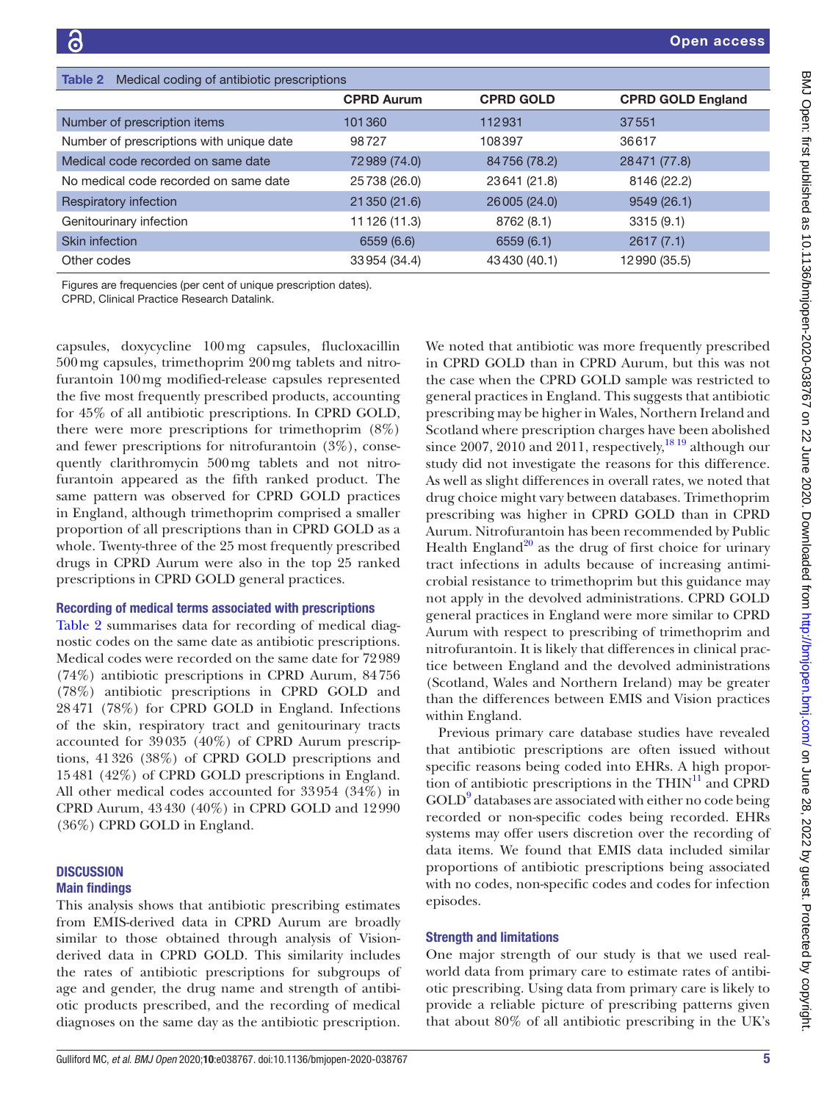<span id="page-4-0"></span>

| Medical coding of antibiotic prescriptions<br>Table 2 |                   |                  |                          |  |  |  |  |  |
|-------------------------------------------------------|-------------------|------------------|--------------------------|--|--|--|--|--|
|                                                       | <b>CPRD Aurum</b> | <b>CPRD GOLD</b> | <b>CPRD GOLD England</b> |  |  |  |  |  |
| Number of prescription items                          | 101360            | 112931           | 37551                    |  |  |  |  |  |
| Number of prescriptions with unique date              | 98727             | 108397           | 36617                    |  |  |  |  |  |
| Medical code recorded on same date                    | 72989 (74.0)      | 84756 (78.2)     | 28471 (77.8)             |  |  |  |  |  |
| No medical code recorded on same date                 | 25738 (26.0)      | 23641 (21.8)     | 8146 (22.2)              |  |  |  |  |  |
| Respiratory infection                                 | 21 350 (21.6)     | 26005 (24.0)     | 9549 (26.1)              |  |  |  |  |  |
| Genitourinary infection                               | 11 126 (11.3)     | 8762 (8.1)       | 3315(9.1)                |  |  |  |  |  |
| <b>Skin infection</b>                                 | 6559 (6.6)        | 6559(6.1)        | 2617(7.1)                |  |  |  |  |  |
| Other codes                                           | 33954 (34.4)      | 43430 (40.1)     | 12990 (35.5)             |  |  |  |  |  |

Figures are frequencies (per cent of unique prescription dates).

CPRD, Clinical Practice Research Datalink.

capsules, doxycycline 100mg capsules, flucloxacillin 500mg capsules, trimethoprim 200mg tablets and nitrofurantoin 100mg modified-release capsules represented the five most frequently prescribed products, accounting for 45% of all antibiotic prescriptions. In CPRD GOLD, there were more prescriptions for trimethoprim (8%) and fewer prescriptions for nitrofurantoin (3%), consequently clarithromycin 500mg tablets and not nitrofurantoin appeared as the fifth ranked product. The same pattern was observed for CPRD GOLD practices in England, although trimethoprim comprised a smaller proportion of all prescriptions than in CPRD GOLD as a whole. Twenty-three of the 25 most frequently prescribed drugs in CPRD Aurum were also in the top 25 ranked prescriptions in CPRD GOLD general practices.

# Recording of medical terms associated with prescriptions

[Table](#page-4-0) 2 summarises data for recording of medical diagnostic codes on the same date as antibiotic prescriptions. Medical codes were recorded on the same date for 72989 (74%) antibiotic prescriptions in CPRD Aurum, 84756 (78%) antibiotic prescriptions in CPRD GOLD and 28471 (78%) for CPRD GOLD in England. Infections of the skin, respiratory tract and genitourinary tracts accounted for 39035 (40%) of CPRD Aurum prescriptions, 41326 (38%) of CPRD GOLD prescriptions and 15481 (42%) of CPRD GOLD prescriptions in England. All other medical codes accounted for 33954 (34%) in CPRD Aurum, 43430 (40%) in CPRD GOLD and 12990 (36%) CPRD GOLD in England.

# **DISCUSSION** Main findings

This analysis shows that antibiotic prescribing estimates from EMIS-derived data in CPRD Aurum are broadly similar to those obtained through analysis of Visionderived data in CPRD GOLD. This similarity includes the rates of antibiotic prescriptions for subgroups of age and gender, the drug name and strength of antibiotic products prescribed, and the recording of medical diagnoses on the same day as the antibiotic prescription.

We noted that antibiotic was more frequently prescribed in CPRD GOLD than in CPRD Aurum, but this was not the case when the CPRD GOLD sample was restricted to general practices in England. This suggests that antibiotic prescribing may be higher in Wales, Northern Ireland and Scotland where prescription charges have been abolished since 2007, 2010 and 2011, respectively,  $^{18\,19}$  although our study did not investigate the reasons for this difference. As well as slight differences in overall rates, we noted that drug choice might vary between databases. Trimethoprim prescribing was higher in CPRD GOLD than in CPRD Aurum. Nitrofurantoin has been recommended by Public Health England<sup>[20](#page-6-15)</sup> as the drug of first choice for urinary tract infections in adults because of increasing antimicrobial resistance to trimethoprim but this guidance may not apply in the devolved administrations. CPRD GOLD general practices in England were more similar to CPRD Aurum with respect to prescribing of trimethoprim and nitrofurantoin. It is likely that differences in clinical practice between England and the devolved administrations (Scotland, Wales and Northern Ireland) may be greater than the differences between EMIS and Vision practices within England.

Previous primary care database studies have revealed that antibiotic prescriptions are often issued without specific reasons being coded into EHRs. A high proportion of antibiotic prescriptions in the THIN $^{11}$  and CPRD GOLD<sup>[9](#page-6-6)</sup> databases are associated with either no code being recorded or non-specific codes being recorded. EHRs systems may offer users discretion over the recording of data items. We found that EMIS data included similar proportions of antibiotic prescriptions being associated with no codes, non-specific codes and codes for infection episodes.

# Strength and limitations

One major strength of our study is that we used realworld data from primary care to estimate rates of antibiotic prescribing. Using data from primary care is likely to provide a reliable picture of prescribing patterns given that about 80% of all antibiotic prescribing in the UK's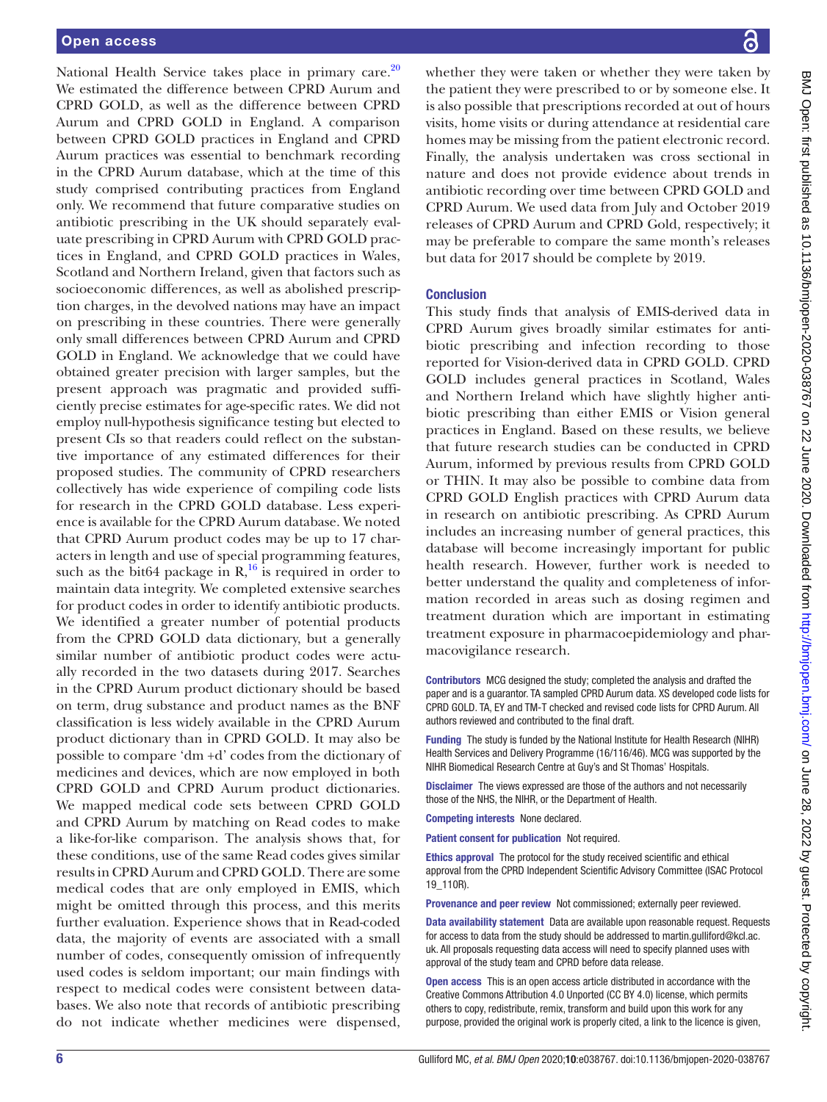National Health Service takes place in primary care.<sup>[20](#page-6-15)</sup> We estimated the difference between CPRD Aurum and CPRD GOLD, as well as the difference between CPRD Aurum and CPRD GOLD in England. A comparison between CPRD GOLD practices in England and CPRD Aurum practices was essential to benchmark recording in the CPRD Aurum database, which at the time of this study comprised contributing practices from England only. We recommend that future comparative studies on antibiotic prescribing in the UK should separately evaluate prescribing in CPRD Aurum with CPRD GOLD practices in England, and CPRD GOLD practices in Wales, Scotland and Northern Ireland, given that factors such as socioeconomic differences, as well as abolished prescription charges, in the devolved nations may have an impact on prescribing in these countries. There were generally only small differences between CPRD Aurum and CPRD GOLD in England. We acknowledge that we could have obtained greater precision with larger samples, but the present approach was pragmatic and provided sufficiently precise estimates for age-specific rates. We did not employ null-hypothesis significance testing but elected to present CIs so that readers could reflect on the substantive importance of any estimated differences for their proposed studies. The community of CPRD researchers collectively has wide experience of compiling code lists for research in the CPRD GOLD database. Less experience is available for the CPRD Aurum database. We noted that CPRD Aurum product codes may be up to 17 characters in length and use of special programming features, such as the bit64 package in  $R$ <sup>16</sup> is required in order to maintain data integrity. We completed extensive searches for product codes in order to identify antibiotic products. We identified a greater number of potential products from the CPRD GOLD data dictionary, but a generally similar number of antibiotic product codes were actually recorded in the two datasets during 2017. Searches in the CPRD Aurum product dictionary should be based on term, drug substance and product names as the BNF classification is less widely available in the CPRD Aurum product dictionary than in CPRD GOLD. It may also be possible to compare 'dm +d' codes from the dictionary of medicines and devices, which are now employed in both CPRD GOLD and CPRD Aurum product dictionaries. We mapped medical code sets between CPRD GOLD and CPRD Aurum by matching on Read codes to make a like-for-like comparison. The analysis shows that, for these conditions, use of the same Read codes gives similar results in CPRD Aurum and CPRD GOLD. There are some medical codes that are only employed in EMIS, which might be omitted through this process, and this merits further evaluation. Experience shows that in Read-coded data, the majority of events are associated with a small number of codes, consequently omission of infrequently used codes is seldom important; our main findings with respect to medical codes were consistent between databases. We also note that records of antibiotic prescribing do not indicate whether medicines were dispensed,

BMJ Open: first published as 10.1136/bmjopen-2020-038767 on 22 June 2020. Downloaded from http://bmjopen.bmj.com/ on June 28, 2022 by guest. Protected by copyright BMJ Open: first published as 10.1136/bmjopen-2020-038767 on 22 June 2020. Downloaded from <http://bmjopen.bmj.com/> BM 28, 2022 by guest. Protected by copyright.

whether they were taken or whether they were taken by the patient they were prescribed to or by someone else. It is also possible that prescriptions recorded at out of hours visits, home visits or during attendance at residential care homes may be missing from the patient electronic record. Finally, the analysis undertaken was cross sectional in nature and does not provide evidence about trends in antibiotic recording over time between CPRD GOLD and CPRD Aurum. We used data from July and October 2019 releases of CPRD Aurum and CPRD Gold, respectively; it may be preferable to compare the same month's releases but data for 2017 should be complete by 2019.

# **Conclusion**

This study finds that analysis of EMIS-derived data in CPRD Aurum gives broadly similar estimates for antibiotic prescribing and infection recording to those reported for Vision-derived data in CPRD GOLD. CPRD GOLD includes general practices in Scotland, Wales and Northern Ireland which have slightly higher antibiotic prescribing than either EMIS or Vision general practices in England. Based on these results, we believe that future research studies can be conducted in CPRD Aurum, informed by previous results from CPRD GOLD or THIN. It may also be possible to combine data from CPRD GOLD English practices with CPRD Aurum data in research on antibiotic prescribing. As CPRD Aurum includes an increasing number of general practices, this database will become increasingly important for public health research. However, further work is needed to better understand the quality and completeness of information recorded in areas such as dosing regimen and treatment duration which are important in estimating treatment exposure in pharmacoepidemiology and pharmacovigilance research.

Contributors MCG designed the study; completed the analysis and drafted the paper and is a guarantor. TA sampled CPRD Aurum data. XS developed code lists for CPRD GOLD. TA, EY and TM-T checked and revised code lists for CPRD Aurum. All authors reviewed and contributed to the final draft.

Funding The study is funded by the National Institute for Health Research (NIHR) Health Services and Delivery Programme (16/116/46). MCG was supported by the NIHR Biomedical Research Centre at Guy's and St Thomas' Hospitals.

Disclaimer The views expressed are those of the authors and not necessarily those of the NHS, the NIHR, or the Department of Health.

Competing interests None declared.

Patient consent for publication Not required.

Ethics approval The protocol for the study received scientific and ethical approval from the CPRD Independent Scientific Advisory Committee (ISAC Protocol 19\_110R).

Provenance and peer review Not commissioned; externally peer reviewed.

Data availability statement Data are available upon reasonable request. Requests for access to data from the study should be addressed to martin.gulliford@kcl.ac. uk. All proposals requesting data access will need to specify planned uses with approval of the study team and CPRD before data release.

Open access This is an open access article distributed in accordance with the Creative Commons Attribution 4.0 Unported (CC BY 4.0) license, which permits others to copy, redistribute, remix, transform and build upon this work for any purpose, provided the original work is properly cited, a link to the licence is given,